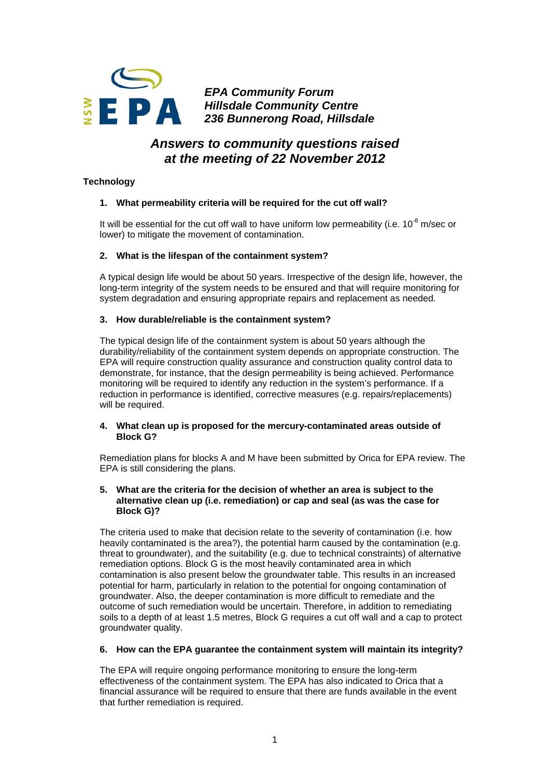

*EPA Community Forum Hillsdale Community Centre 236 Bunnerong Road, Hillsdale* 

# *Answers to community questions raised at the meeting of 22 November 2012*

# **Technology**

# **1. What permeability criteria will be required for the cut off wall?**

It will be essential for the cut off wall to have uniform low permeability (i.e.  $10^{-8}$  m/sec or lower) to mitigate the movement of contamination.

# **2. What is the lifespan of the containment system?**

A typical design life would be about 50 years. Irrespective of the design life, however, the long-term integrity of the system needs to be ensured and that will require monitoring for system degradation and ensuring appropriate repairs and replacement as needed.

# **3. How durable/reliable is the containment system?**

The typical design life of the containment system is about 50 years although the durability/reliability of the containment system depends on appropriate construction. The EPA will require construction quality assurance and construction quality control data to demonstrate, for instance, that the design permeability is being achieved. Performance monitoring will be required to identify any reduction in the system's performance. If a reduction in performance is identified, corrective measures (e.g. repairs/replacements) will be required.

# **4. What clean up is proposed for the mercury-contaminated areas outside of Block G?**

Remediation plans for blocks A and M have been submitted by Orica for EPA review. The EPA is still considering the plans.

### **5. What are the criteria for the decision of whether an area is subject to the alternative clean up (i.e. remediation) or cap and seal (as was the case for Block G)?**

The criteria used to make that decision relate to the severity of contamination (i.e. how heavily contaminated is the area?), the potential harm caused by the contamination (e.g. threat to groundwater), and the suitability (e.g. due to technical constraints) of alternative remediation options. Block G is the most heavily contaminated area in which contamination is also present below the groundwater table. This results in an increased potential for harm, particularly in relation to the potential for ongoing contamination of groundwater. Also, the deeper contamination is more difficult to remediate and the outcome of such remediation would be uncertain. Therefore, in addition to remediating soils to a depth of at least 1.5 metres, Block G requires a cut off wall and a cap to protect groundwater quality.

# **6. How can the EPA guarantee the containment system will maintain its integrity?**

The EPA will require ongoing performance monitoring to ensure the long-term effectiveness of the containment system. The EPA has also indicated to Orica that a financial assurance will be required to ensure that there are funds available in the event that further remediation is required.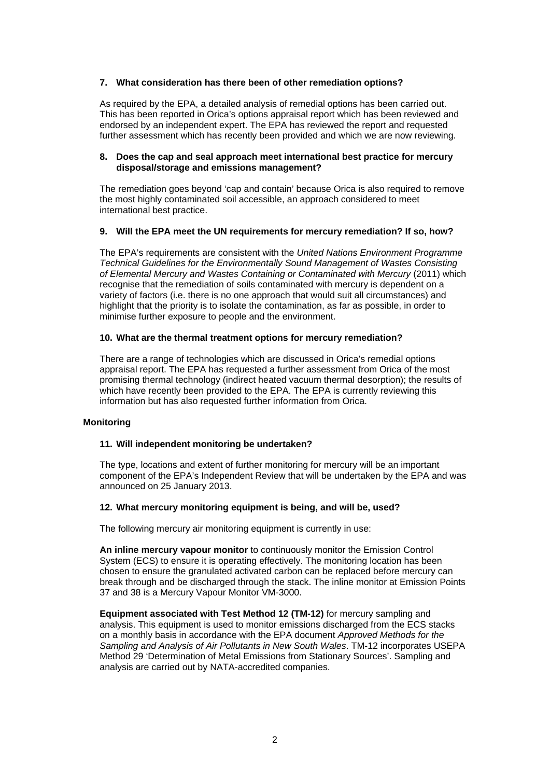# **7. What consideration has there been of other remediation options?**

As required by the EPA, a detailed analysis of remedial options has been carried out. This has been reported in Orica's options appraisal report which has been reviewed and endorsed by an independent expert. The EPA has reviewed the report and requested further assessment which has recently been provided and which we are now reviewing.

# **8. Does the cap and seal approach meet international best practice for mercury disposal/storage and emissions management?**

The remediation goes beyond 'cap and contain' because Orica is also required to remove the most highly contaminated soil accessible, an approach considered to meet international best practice.

# **9. Will the EPA meet the UN requirements for mercury remediation? If so, how?**

The EPA's requirements are consistent with the *United Nations Environment Programme Technical Guidelines for the Environmentally Sound Management of Wastes Consisting of Elemental Mercury and Wastes Containing or Contaminated with Mercury* (2011) which recognise that the remediation of soils contaminated with mercury is dependent on a variety of factors (i.e. there is no one approach that would suit all circumstances) and highlight that the priority is to isolate the contamination, as far as possible, in order to minimise further exposure to people and the environment.

#### **10. What are the thermal treatment options for mercury remediation?**

There are a range of technologies which are discussed in Orica's remedial options appraisal report. The EPA has requested a further assessment from Orica of the most promising thermal technology (indirect heated vacuum thermal desorption); the results of which have recently been provided to the EPA. The EPA is currently reviewing this information but has also requested further information from Orica.

#### **Monitoring**

# **11. Will independent monitoring be undertaken?**

The type, locations and extent of further monitoring for mercury will be an important component of the EPA's Independent Review that will be undertaken by the EPA and was announced on 25 January 2013.

# **12. What mercury monitoring equipment is being, and will be, used?**

The following mercury air monitoring equipment is currently in use:

**An inline mercury vapour monitor** to continuously monitor the Emission Control System (ECS) to ensure it is operating effectively. The monitoring location has been chosen to ensure the granulated activated carbon can be replaced before mercury can break through and be discharged through the stack. The inline monitor at Emission Points 37 and 38 is a Mercury Vapour Monitor VM-3000.

**Equipment associated with Test Method 12 (TM-12)** for mercury sampling and analysis. This equipment is used to monitor emissions discharged from the ECS stacks on a monthly basis in accordance with the EPA document *Approved Methods for the Sampling and Analysis of Air Pollutants in New South Wales*. TM-12 incorporates USEPA Method 29 'Determination of Metal Emissions from Stationary Sources'. Sampling and analysis are carried out by NATA-accredited companies.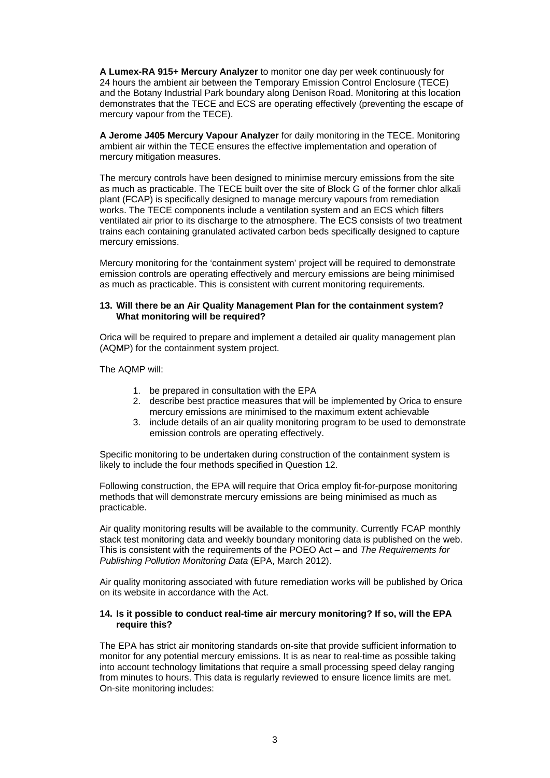**A Lumex-RA 915+ Mercury Analyzer** to monitor one day per week continuously for 24 hours the ambient air between the Temporary Emission Control Enclosure (TECE) and the Botany Industrial Park boundary along Denison Road. Monitoring at this location demonstrates that the TECE and ECS are operating effectively (preventing the escape of mercury vapour from the TECE).

**A Jerome J405 Mercury Vapour Analyzer** for daily monitoring in the TECE. Monitoring ambient air within the TECE ensures the effective implementation and operation of mercury mitigation measures.

The mercury controls have been designed to minimise mercury emissions from the site as much as practicable. The TECE built over the site of Block G of the former chlor alkali plant (FCAP) is specifically designed to manage mercury vapours from remediation works. The TECE components include a ventilation system and an ECS which filters ventilated air prior to its discharge to the atmosphere. The ECS consists of two treatment trains each containing granulated activated carbon beds specifically designed to capture mercury emissions.

Mercury monitoring for the 'containment system' project will be required to demonstrate emission controls are operating effectively and mercury emissions are being minimised as much as practicable. This is consistent with current monitoring requirements.

#### **13. Will there be an Air Quality Management Plan for the containment system? What monitoring will be required?**

Orica will be required to prepare and implement a detailed air quality management plan (AQMP) for the containment system project.

The AQMP will:

- 1. be prepared in consultation with the EPA
- 2. describe best practice measures that will be implemented by Orica to ensure mercury emissions are minimised to the maximum extent achievable
- 3. include details of an air quality monitoring program to be used to demonstrate emission controls are operating effectively.

Specific monitoring to be undertaken during construction of the containment system is likely to include the four methods specified in Question 12.

Following construction, the EPA will require that Orica employ fit-for-purpose monitoring methods that will demonstrate mercury emissions are being minimised as much as practicable.

Air quality monitoring results will be available to the community. Currently FCAP monthly stack test monitoring data and weekly boundary monitoring data is published on the web. This is consistent with the requirements of the POEO Act – and *The Requirements for Publishing Pollution Monitoring Data* (EPA, March 2012).

Air quality monitoring associated with future remediation works will be published by Orica on its website in accordance with the Act.

#### **14. Is it possible to conduct real-time air mercury monitoring? If so, will the EPA require this?**

The EPA has strict air monitoring standards on-site that provide sufficient information to monitor for any potential mercury emissions. It is as near to real-time as possible taking into account technology limitations that require a small processing speed delay ranging from minutes to hours. This data is regularly reviewed to ensure licence limits are met. On-site monitoring includes: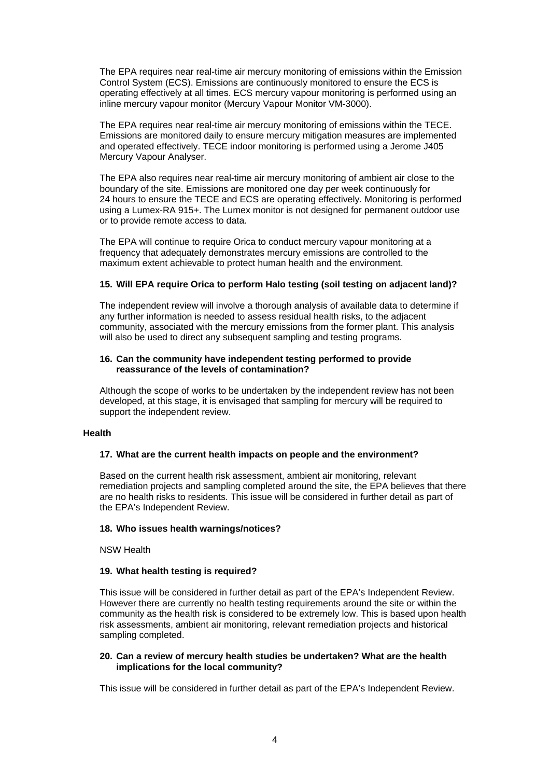The EPA requires near real-time air mercury monitoring of emissions within the Emission Control System (ECS). Emissions are continuously monitored to ensure the ECS is operating effectively at all times. ECS mercury vapour monitoring is performed using an inline mercury vapour monitor (Mercury Vapour Monitor VM-3000).

The EPA requires near real-time air mercury monitoring of emissions within the TECE. Emissions are monitored daily to ensure mercury mitigation measures are implemented and operated effectively. TECE indoor monitoring is performed using a Jerome J405 Mercury Vapour Analyser.

The EPA also requires near real-time air mercury monitoring of ambient air close to the boundary of the site. Emissions are monitored one day per week continuously for 24 hours to ensure the TECE and ECS are operating effectively. Monitoring is performed using a Lumex-RA 915+. The Lumex monitor is not designed for permanent outdoor use or to provide remote access to data.

The EPA will continue to require Orica to conduct mercury vapour monitoring at a frequency that adequately demonstrates mercury emissions are controlled to the maximum extent achievable to protect human health and the environment.

# **15. Will EPA require Orica to perform Halo testing (soil testing on adjacent land)?**

The independent review will involve a thorough analysis of available data to determine if any further information is needed to assess residual health risks, to the adjacent community, associated with the mercury emissions from the former plant. This analysis will also be used to direct any subsequent sampling and testing programs.

#### **16. Can the community have independent testing performed to provide reassurance of the levels of contamination?**

Although the scope of works to be undertaken by the independent review has not been developed, at this stage, it is envisaged that sampling for mercury will be required to support the independent review.

#### **Health**

#### **17. What are the current health impacts on people and the environment?**

Based on the current health risk assessment, ambient air monitoring, relevant remediation projects and sampling completed around the site, the EPA believes that there are no health risks to residents. This issue will be considered in further detail as part of the EPA's Independent Review.

#### **18. Who issues health warnings/notices?**

NSW Health

# **19. What health testing is required?**

This issue will be considered in further detail as part of the EPA's Independent Review. However there are currently no health testing requirements around the site or within the community as the health risk is considered to be extremely low. This is based upon health risk assessments, ambient air monitoring, relevant remediation projects and historical sampling completed.

#### **20. Can a review of mercury health studies be undertaken? What are the health implications for the local community?**

This issue will be considered in further detail as part of the EPA's Independent Review.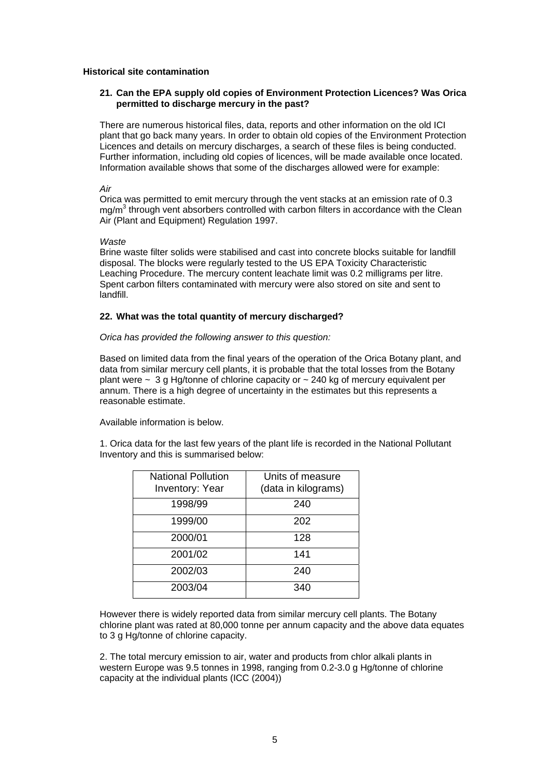### **Historical site contamination**

# **21. Can the EPA supply old copies of Environment Protection Licences? Was Orica permitted to discharge mercury in the past?**

There are numerous historical files, data, reports and other information on the old ICI plant that go back many years. In order to obtain old copies of the Environment Protection Licences and details on mercury discharges, a search of these files is being conducted. Further information, including old copies of licences, will be made available once located. Information available shows that some of the discharges allowed were for example:

*Air* 

Orica was permitted to emit mercury through the vent stacks at an emission rate of 0.3 mg/m<sup>3</sup> through vent absorbers controlled with carbon filters in accordance with the Clean Air (Plant and Equipment) Regulation 1997.

#### *Waste*

Brine waste filter solids were stabilised and cast into concrete blocks suitable for landfill disposal. The blocks were regularly tested to the US EPA Toxicity Characteristic Leaching Procedure. The mercury content leachate limit was 0.2 milligrams per litre. Spent carbon filters contaminated with mercury were also stored on site and sent to landfill.

# **22. What was the total quantity of mercury discharged?**

# *Orica has provided the following answer to this question:*

Based on limited data from the final years of the operation of the Orica Botany plant, and data from similar mercury cell plants, it is probable that the total losses from the Botany plant were  $\sim$  3 g Hg/tonne of chlorine capacity or  $\sim$  240 kg of mercury equivalent per annum. There is a high degree of uncertainty in the estimates but this represents a reasonable estimate.

Available information is below.

1. Orica data for the last few years of the plant life is recorded in the National Pollutant Inventory and this is summarised below:

| <b>National Pollution</b><br><b>Inventory: Year</b> | Units of measure<br>(data in kilograms) |
|-----------------------------------------------------|-----------------------------------------|
| 1998/99                                             | 240                                     |
| 1999/00                                             | 202                                     |
| 2000/01                                             | 128                                     |
| 2001/02                                             | 141                                     |
| 2002/03                                             | 240                                     |
| 2003/04                                             | 340                                     |

However there is widely reported data from similar mercury cell plants. The Botany chlorine plant was rated at 80,000 tonne per annum capacity and the above data equates to 3 g Hg/tonne of chlorine capacity.

2. The total mercury emission to air, water and products from chlor alkali plants in western Europe was 9.5 tonnes in 1998, ranging from 0.2-3.0 g Hg/tonne of chlorine capacity at the individual plants (ICC (2004))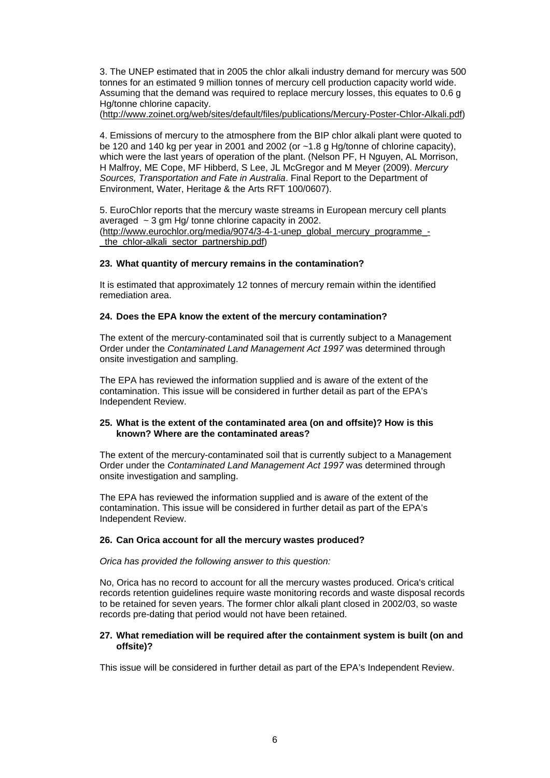3. The UNEP estimated that in 2005 the chlor alkali industry demand for mercury was 500 tonnes for an estimated 9 million tonnes of mercury cell production capacity world wide. Assuming that the demand was required to replace mercury losses, this equates to 0.6 g Hg/tonne chlorine capacity.

[\(http://www.zoinet.org/web/sites/default/files/publications/Mercury-Poster-Chlor-Alkali.pdf](http://www.zoinet.org/web/sites/default/files/publications/Mercury-Poster-Chlor-Alkali.pdf))

4. Emissions of mercury to the atmosphere from the BIP chlor alkali plant were quoted to be 120 and 140 kg per year in 2001 and 2002 (or ~1.8 g Hg/tonne of chlorine capacity), which were the last years of operation of the plant. (Nelson PF, H Nguyen, AL Morrison, H Malfroy, ME Cope, MF Hibberd, S Lee, JL McGregor and M Meyer (2009). *Mercury Sources, Transportation and Fate in Australia*. Final Report to the Department of Environment, Water, Heritage & the Arts RFT 100/0607).

5. EuroChlor reports that the mercury waste streams in European mercury cell plants averaged  $\sim$  3 gm Hg/ tonne chlorine capacity in 2002. [\(http://www.eurochlor.org/media/9074/3-4-1-unep\\_global\\_mercury\\_programme\\_](http://www.eurochlor.org/media/9074/3-4-1-unep_global_mercury_programme_-_the_chlor-alkali_sector_partnership.pdf) the chlor-alkali sector partnership.pdf)

# **23. What quantity of mercury remains in the contamination?**

It is estimated that approximately 12 tonnes of mercury remain within the identified remediation area.

# **24. Does the EPA know the extent of the mercury contamination?**

The extent of the mercury-contaminated soil that is currently subject to a Management Order under the *Contaminated Land Management Act 1997* was determined through onsite investigation and sampling.

The EPA has reviewed the information supplied and is aware of the extent of the contamination. This issue will be considered in further detail as part of the EPA's Independent Review.

#### **25. What is the extent of the contaminated area (on and offsite)? How is this known? Where are the contaminated areas?**

The extent of the mercury-contaminated soil that is currently subject to a Management Order under the *Contaminated Land Management Act 1997* was determined through onsite investigation and sampling.

The EPA has reviewed the information supplied and is aware of the extent of the contamination. This issue will be considered in further detail as part of the EPA's Independent Review.

# **26. Can Orica account for all the mercury wastes produced?**

*Orica has provided the following answer to this question:* 

No, Orica has no record to account for all the mercury wastes produced. Orica's critical records retention guidelines require waste monitoring records and waste disposal records to be retained for seven years. The former chlor alkali plant closed in 2002/03, so waste records pre-dating that period would not have been retained.

#### **27. What remediation will be required after the containment system is built (on and offsite)?**

This issue will be considered in further detail as part of the EPA's Independent Review.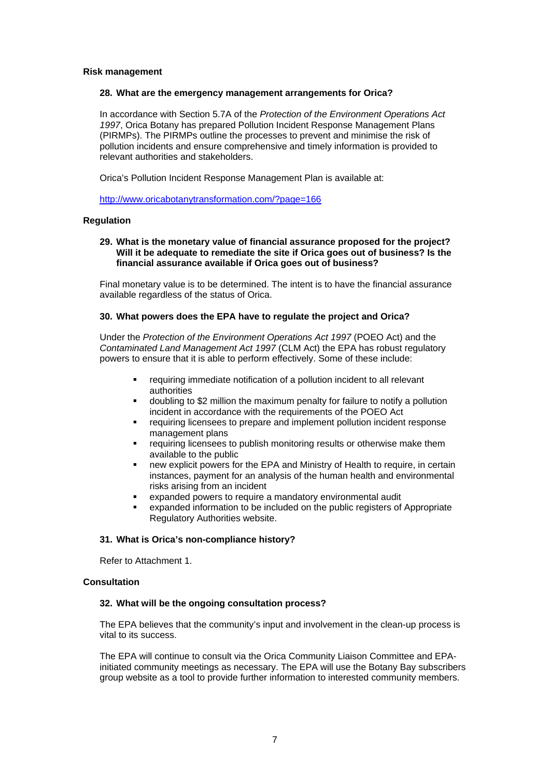#### **Risk management**

#### **28. What are the emergency management arrangements for Orica?**

In accordance with Section 5.7A of the *Protection of the Environment Operations Act 1997*, Orica Botany has prepared Pollution Incident Response Management Plans (PIRMPs). The PIRMPs outline the processes to prevent and minimise the risk of pollution incidents and ensure comprehensive and timely information is provided to relevant authorities and stakeholders.

Orica's Pollution Incident Response Management Plan is available at:

<http://www.oricabotanytransformation.com/?page=166>

#### **Regulation**

#### **29. What is the monetary value of financial assurance proposed for the project? Will it be adequate to remediate the site if Orica goes out of business? Is the financial assurance available if Orica goes out of business?**

Final monetary value is to be determined. The intent is to have the financial assurance available regardless of the status of Orica.

#### **30. What powers does the EPA have to regulate the project and Orica?**

Under the *Protection of the Environment Operations Act 1997* (POEO Act) and the *Contaminated Land Management Act 1997* (CLM Act) the EPA has robust regulatory powers to ensure that it is able to perform effectively. Some of these include:

- requiring immediate notification of a pollution incident to all relevant authorities
- doubling to \$2 million the maximum penalty for failure to notify a pollution incident in accordance with the requirements of the POEO Act
- requiring licensees to prepare and implement pollution incident response management plans
- requiring licensees to publish monitoring results or otherwise make them available to the public
- new explicit powers for the EPA and Ministry of Health to require, in certain instances, payment for an analysis of the human health and environmental risks arising from an incident
- expanded powers to require a mandatory environmental audit
- expanded information to be included on the public registers of Appropriate Regulatory Authorities website.

#### **31. What is Orica's non-compliance history?**

Refer to Attachment 1.

### **Consultation**

# **32. What will be the ongoing consultation process?**

The EPA believes that the community's input and involvement in the clean-up process is vital to its success.

The EPA will continue to consult via the Orica Community Liaison Committee and EPAinitiated community meetings as necessary. The EPA will use the Botany Bay subscribers group website as a tool to provide further information to interested community members.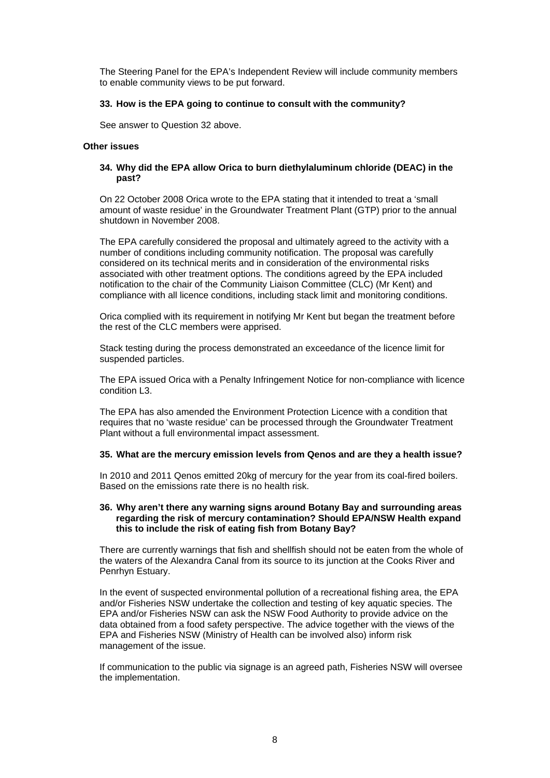The Steering Panel for the EPA's Independent Review will include community members to enable community views to be put forward.

### **33. How is the EPA going to continue to consult with the community?**

See answer to Question 32 above.

# **Other issues**

# **34. Why did the EPA allow Orica to burn diethylaluminum chloride (DEAC) in the past?**

On 22 October 2008 Orica wrote to the EPA stating that it intended to treat a 'small amount of waste residue' in the Groundwater Treatment Plant (GTP) prior to the annual shutdown in November 2008.

The EPA carefully considered the proposal and ultimately agreed to the activity with a number of conditions including community notification. The proposal was carefully considered on its technical merits and in consideration of the environmental risks associated with other treatment options. The conditions agreed by the EPA included notification to the chair of the Community Liaison Committee (CLC) (Mr Kent) and compliance with all licence conditions, including stack limit and monitoring conditions.

Orica complied with its requirement in notifying Mr Kent but began the treatment before the rest of the CLC members were apprised.

Stack testing during the process demonstrated an exceedance of the licence limit for suspended particles.

The EPA issued Orica with a Penalty Infringement Notice for non-compliance with licence condition L3.

The EPA has also amended the Environment Protection Licence with a condition that requires that no 'waste residue' can be processed through the Groundwater Treatment Plant without a full environmental impact assessment.

#### **35. What are the mercury emission levels from Qenos and are they a health issue?**

In 2010 and 2011 Qenos emitted 20kg of mercury for the year from its coal-fired boilers. Based on the emissions rate there is no health risk.

#### **36. Why aren't there any warning signs around Botany Bay and surrounding areas regarding the risk of mercury contamination? Should EPA/NSW Health expand this to include the risk of eating fish from Botany Bay?**

There are currently warnings that fish and shellfish should not be eaten from the whole of the waters of the Alexandra Canal from its source to its junction at the Cooks River and Penrhyn Estuary.

In the event of suspected environmental pollution of a recreational fishing area, the EPA and/or Fisheries NSW undertake the collection and testing of key aquatic species. The EPA and/or Fisheries NSW can ask the NSW Food Authority to provide advice on the data obtained from a food safety perspective. The advice together with the views of the EPA and Fisheries NSW (Ministry of Health can be involved also) inform risk management of the issue.

If communication to the public via signage is an agreed path, Fisheries NSW will oversee the implementation.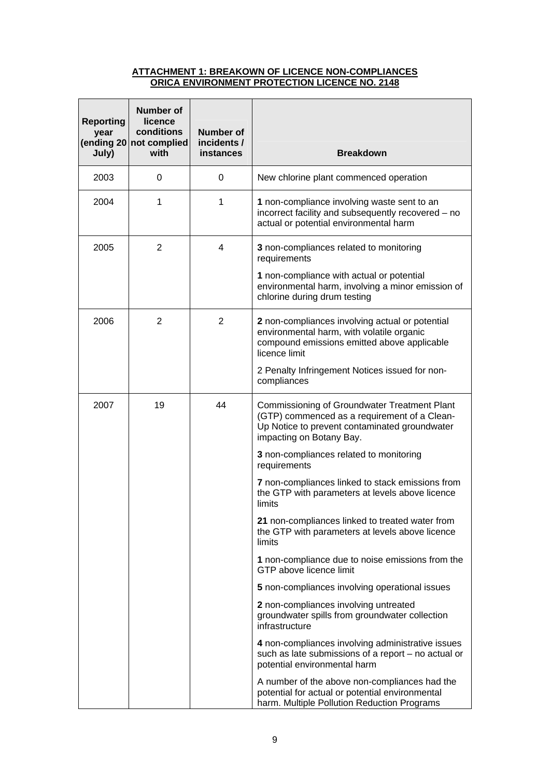### **ATTACHMENT 1: BREAKOWN OF LICENCE NON-COMPLIANCES ORICA ENVIRONMENT PROTECTION LICENCE NO. 2148**

| <b>Reporting</b><br>year<br>July) | Number of<br>licence<br>conditions<br>(ending 20 not complied<br>with | <b>Number of</b><br>incidents /<br>instances | <b>Breakdown</b>                                                                                                                                                          |
|-----------------------------------|-----------------------------------------------------------------------|----------------------------------------------|---------------------------------------------------------------------------------------------------------------------------------------------------------------------------|
| 2003                              | 0                                                                     | 0                                            | New chlorine plant commenced operation                                                                                                                                    |
| 2004                              | 1                                                                     | 1                                            | 1 non-compliance involving waste sent to an<br>incorrect facility and subsequently recovered - no<br>actual or potential environmental harm                               |
| 2005                              | 2                                                                     | 4                                            | 3 non-compliances related to monitoring<br>requirements                                                                                                                   |
|                                   |                                                                       |                                              | 1 non-compliance with actual or potential<br>environmental harm, involving a minor emission of<br>chlorine during drum testing                                            |
| 2006                              | 2                                                                     | 2                                            | 2 non-compliances involving actual or potential<br>environmental harm, with volatile organic<br>compound emissions emitted above applicable<br>licence limit              |
|                                   |                                                                       |                                              | 2 Penalty Infringement Notices issued for non-<br>compliances                                                                                                             |
| 2007                              | 19                                                                    | 44                                           | Commissioning of Groundwater Treatment Plant<br>(GTP) commenced as a requirement of a Clean-<br>Up Notice to prevent contaminated groundwater<br>impacting on Botany Bay. |
|                                   |                                                                       |                                              | 3 non-compliances related to monitoring<br>requirements                                                                                                                   |
|                                   |                                                                       |                                              | 7 non-compliances linked to stack emissions from<br>the GTP with parameters at levels above licence<br>limits                                                             |
|                                   |                                                                       |                                              | 21 non-compliances linked to treated water from<br>the GTP with parameters at levels above licence<br>limits                                                              |
|                                   |                                                                       |                                              | 1 non-compliance due to noise emissions from the<br>GTP above licence limit                                                                                               |
|                                   |                                                                       |                                              | 5 non-compliances involving operational issues                                                                                                                            |
|                                   |                                                                       |                                              | 2 non-compliances involving untreated<br>groundwater spills from groundwater collection<br>infrastructure                                                                 |
|                                   |                                                                       |                                              | 4 non-compliances involving administrative issues<br>such as late submissions of a report - no actual or<br>potential environmental harm                                  |
|                                   |                                                                       |                                              | A number of the above non-compliances had the<br>potential for actual or potential environmental<br>harm. Multiple Pollution Reduction Programs                           |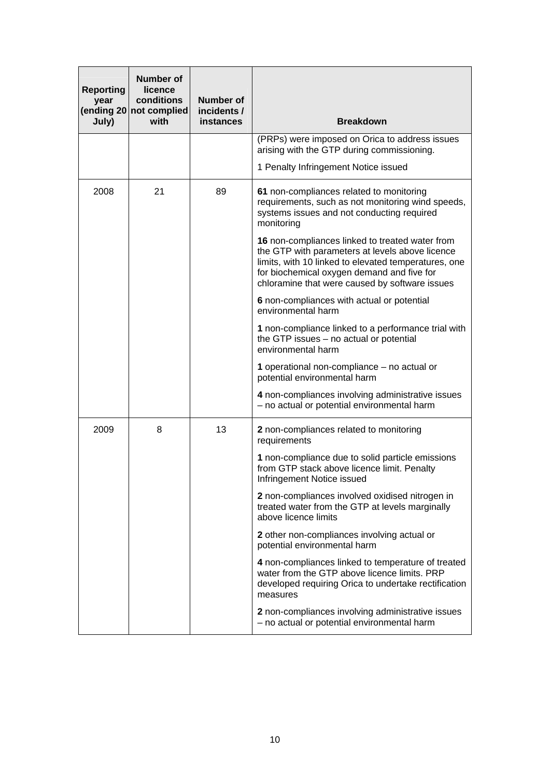| <b>Reporting</b><br>year<br>July) | <b>Number of</b><br>licence<br>conditions<br>(ending 20 not complied<br>with | <b>Number of</b><br>incidents /<br>instances | <b>Breakdown</b>                                                                                                                                                                                                                                           |
|-----------------------------------|------------------------------------------------------------------------------|----------------------------------------------|------------------------------------------------------------------------------------------------------------------------------------------------------------------------------------------------------------------------------------------------------------|
|                                   |                                                                              |                                              | (PRPs) were imposed on Orica to address issues<br>arising with the GTP during commissioning.                                                                                                                                                               |
|                                   |                                                                              |                                              | 1 Penalty Infringement Notice issued                                                                                                                                                                                                                       |
| 2008                              | 21                                                                           | 89                                           | 61 non-compliances related to monitoring<br>requirements, such as not monitoring wind speeds,<br>systems issues and not conducting required<br>monitoring                                                                                                  |
|                                   |                                                                              |                                              | 16 non-compliances linked to treated water from<br>the GTP with parameters at levels above licence<br>limits, with 10 linked to elevated temperatures, one<br>for biochemical oxygen demand and five for<br>chloramine that were caused by software issues |
|                                   |                                                                              |                                              | 6 non-compliances with actual or potential<br>environmental harm                                                                                                                                                                                           |
|                                   |                                                                              |                                              | 1 non-compliance linked to a performance trial with<br>the GTP issues - no actual or potential<br>environmental harm                                                                                                                                       |
|                                   |                                                                              |                                              | 1 operational non-compliance – no actual or<br>potential environmental harm                                                                                                                                                                                |
|                                   |                                                                              |                                              | 4 non-compliances involving administrative issues<br>- no actual or potential environmental harm                                                                                                                                                           |
| 2009                              | 8                                                                            | 13                                           | 2 non-compliances related to monitoring<br>requirements                                                                                                                                                                                                    |
|                                   |                                                                              |                                              | 1 non-compliance due to solid particle emissions<br>from GTP stack above licence limit. Penalty<br>Infringement Notice issued                                                                                                                              |
|                                   |                                                                              |                                              | 2 non-compliances involved oxidised nitrogen in<br>treated water from the GTP at levels marginally<br>above licence limits                                                                                                                                 |
|                                   |                                                                              |                                              | 2 other non-compliances involving actual or<br>potential environmental harm                                                                                                                                                                                |
|                                   |                                                                              |                                              | 4 non-compliances linked to temperature of treated<br>water from the GTP above licence limits. PRP<br>developed requiring Orica to undertake rectification<br>measures                                                                                     |
|                                   |                                                                              |                                              | 2 non-compliances involving administrative issues<br>- no actual or potential environmental harm                                                                                                                                                           |